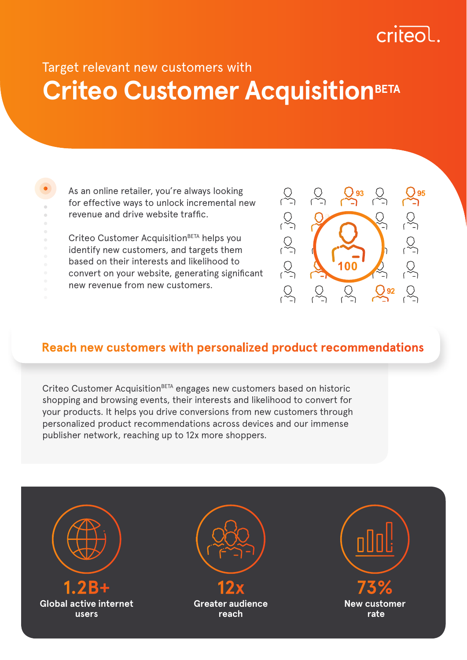# criteo

# **Criteo Customer AcquisitionBETA** Target relevant new customers with

As an online retailer, you're always looking for effective ways to unlock incremental new revenue and drive website traffic.

Criteo Customer Acquisition<sup>BETA</sup> helps you identify new customers, and targets them based on their interests and likelihood to convert on your website, generating significant new revenue from new customers.



## **Reach new customers with personalized product recommendations**

Criteo Customer Acquisition<sup>BETA</sup> engages new customers based on historic shopping and browsing events, their interests and likelihood to convert for your products. It helps you drive conversions from new customers through personalized product recommendations across devices and our immense publisher network, reaching up to 12x more shoppers.